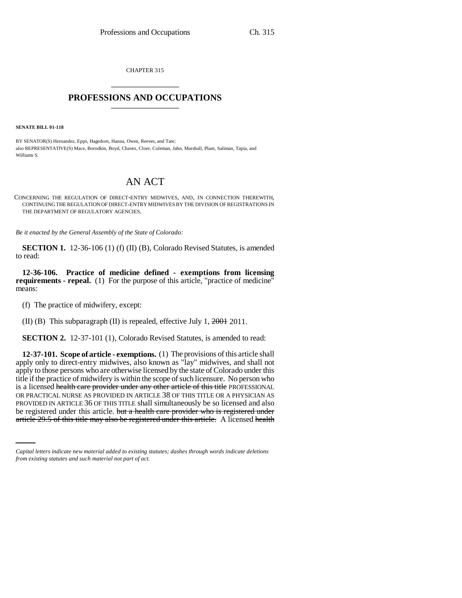CHAPTER 315 \_\_\_\_\_\_\_\_\_\_\_\_\_\_\_

## **PROFESSIONS AND OCCUPATIONS** \_\_\_\_\_\_\_\_\_\_\_\_\_\_\_

**SENATE BILL 01-118**

BY SENATOR(S) Hernandez, Epps, Hagedorn, Hanna, Owen, Reeves, and Tate; also REPRESENTATIVE(S) Mace, Borodkin, Boyd, Chavez, Cloer, Coleman, Jahn, Marshall, Plant, Saliman, Tapia, and Williams S.

## AN ACT

CONCERNING THE REGULATION OF DIRECT-ENTRY MIDWIVES, AND, IN CONNECTION THEREWITH, CONTINUING THE REGULATION OF DIRECT-ENTRY MIDWIVES BY THE DIVISION OF REGISTRATIONS IN THE DEPARTMENT OF REGULATORY AGENCIES.

*Be it enacted by the General Assembly of the State of Colorado:*

**SECTION 1.** 12-36-106 (1) (f) (II) (B), Colorado Revised Statutes, is amended to read:

**12-36-106. Practice of medicine defined - exemptions from licensing requirements - repeal.** (1) For the purpose of this article, "practice of medicine" means:

(f) The practice of midwifery, except:

(II) (B) This subparagraph (II) is repealed, effective July 1, 2001 2011.

**SECTION 2.** 12-37-101 (1), Colorado Revised Statutes, is amended to read:

PROVIDED IN ARTICLE 36 OF THIS TITLE shall simultaneously be so licensed and also **12-37-101. Scope of article - exemptions.** (1) The provisions of this article shall apply only to direct-entry midwives, also known as "lay" midwives, and shall not apply to those persons who are otherwise licensed by the state of Colorado under this title if the practice of midwifery is within the scope of such licensure. No person who is a licensed health care provider under any other article of this title PROFESSIONAL OR PRACTICAL NURSE AS PROVIDED IN ARTICLE 38 OF THIS TITLE OR A PHYSICIAN AS be registered under this article. but a health care provider who is registered under article 29.5 of this title may also be registered under this article. A licensed health

*Capital letters indicate new material added to existing statutes; dashes through words indicate deletions from existing statutes and such material not part of act.*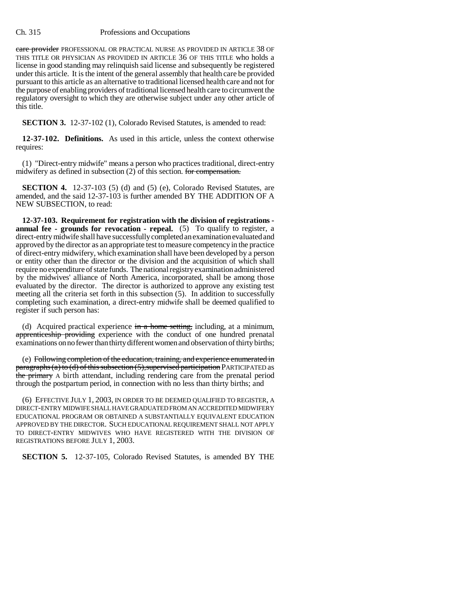## Ch. 315 Professions and Occupations

care provider PROFESSIONAL OR PRACTICAL NURSE AS PROVIDED IN ARTICLE 38 OF THIS TITLE OR PHYSICIAN AS PROVIDED IN ARTICLE 36 OF THIS TITLE who holds a license in good standing may relinquish said license and subsequently be registered under this article. It is the intent of the general assembly that health care be provided pursuant to this article as an alternative to traditional licensed health care and not for the purpose of enabling providers of traditional licensed health care to circumvent the regulatory oversight to which they are otherwise subject under any other article of this title.

**SECTION 3.** 12-37-102 (1), Colorado Revised Statutes, is amended to read:

**12-37-102. Definitions.** As used in this article, unless the context otherwise requires:

(1) "Direct-entry midwife" means a person who practices traditional, direct-entry midwifery as defined in subsection (2) of this section. for compensation.

**SECTION 4.** 12-37-103 (5) (d) and (5) (e), Colorado Revised Statutes, are amended, and the said 12-37-103 is further amended BY THE ADDITION OF A NEW SUBSECTION, to read:

**12-37-103. Requirement for registration with the division of registrations annual fee - grounds for revocation - repeal.** (5) To qualify to register, a direct-entry midwife shall have successfully completed an examination evaluated and approved by the director as an appropriate test to measure competency in the practice of direct-entry midwifery, which examination shall have been developed by a person or entity other than the director or the division and the acquisition of which shall require no expenditure of state funds. The national registry examination administered by the midwives' alliance of North America, incorporated, shall be among those evaluated by the director. The director is authorized to approve any existing test meeting all the criteria set forth in this subsection (5). In addition to successfully completing such examination, a direct-entry midwife shall be deemed qualified to register if such person has:

(d) Acquired practical experience  $\frac{1}{2}$  in a home setting, including, at a minimum, apprenticeship providing experience with the conduct of one hundred prenatal examinations on no fewer than thirty different women and observation of thirty births;

(e) Following completion of the education, training, and experience enumerated in paragraphs (a) to (d) of this subsection  $(5)$ , supervised participation PARTICIPATED as the primary A birth attendant, including rendering care from the prenatal period through the postpartum period, in connection with no less than thirty births; and

(6) EFFECTIVE JULY 1, 2003, IN ORDER TO BE DEEMED QUALIFIED TO REGISTER, A DIRECT-ENTRY MIDWIFE SHALL HAVE GRADUATED FROM AN ACCREDITED MIDWIFERY EDUCATIONAL PROGRAM OR OBTAINED A SUBSTANTIALLY EQUIVALENT EDUCATION APPROVED BY THE DIRECTOR. SUCH EDUCATIONAL REQUIREMENT SHALL NOT APPLY TO DIRECT-ENTRY MIDWIVES WHO HAVE REGISTERED WITH THE DIVISION OF REGISTRATIONS BEFORE JULY 1, 2003.

**SECTION 5.** 12-37-105, Colorado Revised Statutes, is amended BY THE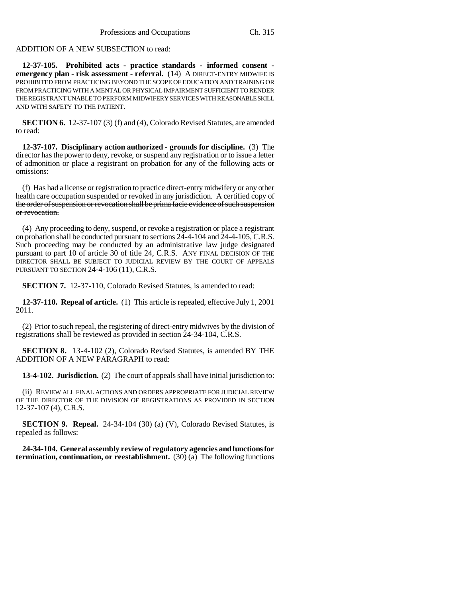## ADDITION OF A NEW SUBSECTION to read:

**12-37-105. Prohibited acts - practice standards - informed consent emergency plan - risk assessment - referral.** (14) A DIRECT-ENTRY MIDWIFE IS PROHIBITED FROM PRACTICING BEYOND THE SCOPE OF EDUCATION AND TRAINING OR FROM PRACTICING WITH A MENTAL OR PHYSICAL IMPAIRMENT SUFFICIENT TO RENDER THE REGISTRANT UNABLE TO PERFORM MIDWIFERY SERVICES WITH REASONABLE SKILL AND WITH SAFETY TO THE PATIENT.

**SECTION 6.** 12-37-107 (3) (f) and (4), Colorado Revised Statutes, are amended to read:

**12-37-107. Disciplinary action authorized - grounds for discipline.** (3) The director has the power to deny, revoke, or suspend any registration or to issue a letter of admonition or place a registrant on probation for any of the following acts or omissions:

(f) Has had a license or registration to practice direct-entry midwifery or any other health care occupation suspended or revoked in any jurisdiction. A certified copy of the order of suspension or revocation shall be prima facie evidence of such suspension or revocation.

(4) Any proceeding to deny, suspend, or revoke a registration or place a registrant on probation shall be conducted pursuant to sections 24-4-104 and 24-4-105, C.R.S. Such proceeding may be conducted by an administrative law judge designated pursuant to part 10 of article 30 of title 24, C.R.S. ANY FINAL DECISION OF THE DIRECTOR SHALL BE SUBJECT TO JUDICIAL REVIEW BY THE COURT OF APPEALS PURSUANT TO SECTION 24-4-106 (11), C.R.S.

**SECTION 7.** 12-37-110, Colorado Revised Statutes, is amended to read:

**12-37-110. Repeal of article.** (1) This article is repealed, effective July 1, 2001 2011.

(2) Prior to such repeal, the registering of direct-entry midwives by the division of registrations shall be reviewed as provided in section 24-34-104, C.R.S.

**SECTION 8.** 13-4-102 (2), Colorado Revised Statutes, is amended BY THE ADDITION OF A NEW PARAGRAPH to read:

**13-4-102. Jurisdiction.** (2) The court of appeals shall have initial jurisdiction to:

(ii) REVIEW ALL FINAL ACTIONS AND ORDERS APPROPRIATE FOR JUDICIAL REVIEW OF THE DIRECTOR OF THE DIVISION OF REGISTRATIONS AS PROVIDED IN SECTION 12-37-107 (4), C.R.S.

**SECTION 9. Repeal.** 24-34-104 (30) (a) (V), Colorado Revised Statutes, is repealed as follows:

**24-34-104. General assembly review of regulatory agencies and functions for termination, continuation, or reestablishment.** (30) (a) The following functions